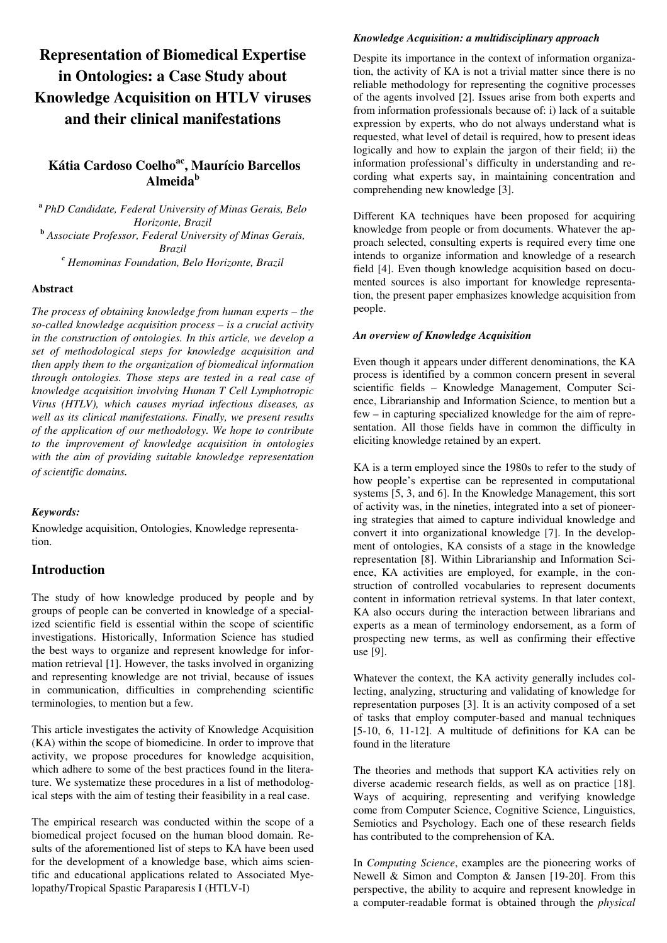# **Representation of Biomedical Expertise in Ontologies: a Case Study about Knowledge Acquisition on HTLV viruses and their clinical manifestations**

# **Kátia Cardoso Coelhoac, Maurício Barcellos Almeida<sup>b</sup>**

**<sup>a</sup>***PhD Candidate, Federal University of Minas Gerais, Belo Horizonte, Brazil*  **b**  *Associate Professor, Federal University of Minas Gerais, Brazil c Hemominas Foundation, Belo Horizonte, Brazil* 

#### **Abstract**

*The process of obtaining knowledge from human experts – the so-called knowledge acquisition process – is a crucial activity in the construction of ontologies. In this article, we develop a set of methodological steps for knowledge acquisition and then apply them to the organization of biomedical information through ontologies. Those steps are tested in a real case of knowledge acquisition involving Human T Cell Lymphotropic Virus (HTLV), which causes myriad infectious diseases, as well as its clinical manifestations. Finally, we present results of the application of our methodology. We hope to contribute to the improvement of knowledge acquisition in ontologies with the aim of providing suitable knowledge representation of scientific domains.* 

#### *Keywords:*

Knowledge acquisition, Ontologies, Knowledge representation.

## **Introduction**

The study of how knowledge produced by people and by groups of people can be converted in knowledge of a specialized scientific field is essential within the scope of scientific investigations. Historically, Information Science has studied the best ways to organize and represent knowledge for information retrieval [1]. However, the tasks involved in organizing and representing knowledge are not trivial, because of issues in communication, difficulties in comprehending scientific terminologies, to mention but a few.

This article investigates the activity of Knowledge Acquisition (KA) within the scope of biomedicine. In order to improve that activity, we propose procedures for knowledge acquisition, which adhere to some of the best practices found in the literature. We systematize these procedures in a list of methodological steps with the aim of testing their feasibility in a real case.

The empirical research was conducted within the scope of a biomedical project focused on the human blood domain. Results of the aforementioned list of steps to KA have been used for the development of a knowledge base, which aims scientific and educational applications related to Associated Myelopathy/Tropical Spastic Paraparesis I (HTLV-I)

## *Knowledge Acquisition: a multidisciplinary approach*

Despite its importance in the context of information organization, the activity of KA is not a trivial matter since there is no reliable methodology for representing the cognitive processes of the agents involved [2]. Issues arise from both experts and from information professionals because of: i) lack of a suitable expression by experts, who do not always understand what is requested, what level of detail is required, how to present ideas logically and how to explain the jargon of their field; ii) the information professional's difficulty in understanding and recording what experts say, in maintaining concentration and comprehending new knowledge [3].

Different KA techniques have been proposed for acquiring knowledge from people or from documents. Whatever the approach selected, consulting experts is required every time one intends to organize information and knowledge of a research field [4]. Even though knowledge acquisition based on documented sources is also important for knowledge representation, the present paper emphasizes knowledge acquisition from people.

## *An overview of Knowledge Acquisition*

Even though it appears under different denominations, the KA process is identified by a common concern present in several scientific fields – Knowledge Management, Computer Science, Librarianship and Information Science, to mention but a few – in capturing specialized knowledge for the aim of representation. All those fields have in common the difficulty in eliciting knowledge retained by an expert.

KA is a term employed since the 1980s to refer to the study of how people's expertise can be represented in computational systems [5, 3, and 6]. In the Knowledge Management, this sort of activity was, in the nineties, integrated into a set of pioneering strategies that aimed to capture individual knowledge and convert it into organizational knowledge [7]. In the development of ontologies, KA consists of a stage in the knowledge representation [8]. Within Librarianship and Information Science, KA activities are employed, for example, in the construction of controlled vocabularies to represent documents content in information retrieval systems. In that later context, KA also occurs during the interaction between librarians and experts as a mean of terminology endorsement, as a form of prospecting new terms, as well as confirming their effective use [9].

Whatever the context, the KA activity generally includes collecting, analyzing, structuring and validating of knowledge for representation purposes [3]. It is an activity composed of a set of tasks that employ computer-based and manual techniques [5-10, 6, 11-12]. A multitude of definitions for KA can be found in the literature

The theories and methods that support KA activities rely on diverse academic research fields, as well as on practice [18]. Ways of acquiring, representing and verifying knowledge come from Computer Science, Cognitive Science, Linguistics, Semiotics and Psychology. Each one of these research fields has contributed to the comprehension of KA.

In *Computing Science*, examples are the pioneering works of Newell & Simon and Compton & Jansen [19-20]. From this perspective, the ability to acquire and represent knowledge in a computer-readable format is obtained through the *physical*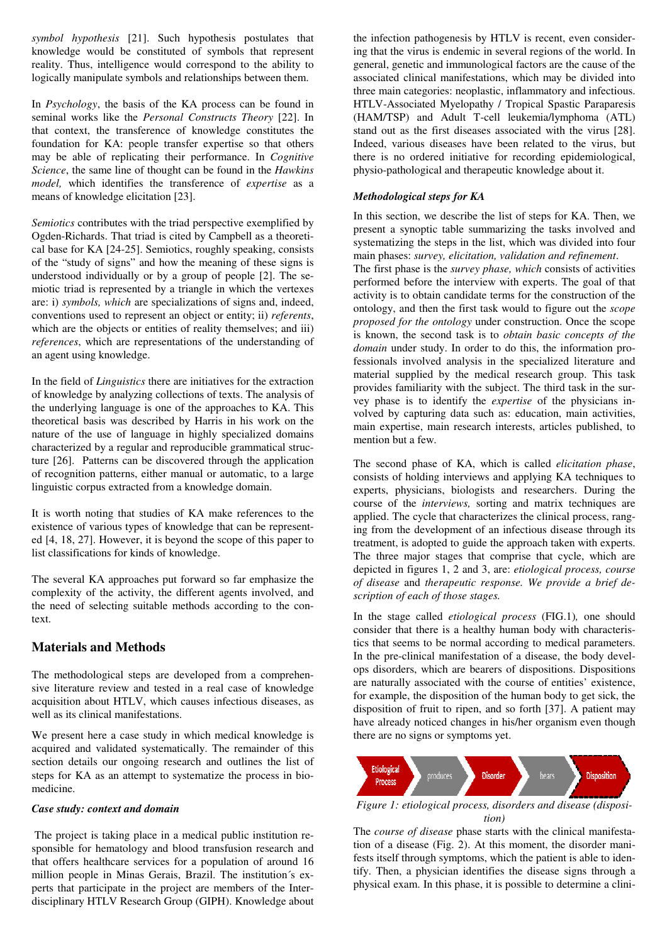*symbol hypothesis* [21]. Such hypothesis postulates that knowledge would be constituted of symbols that represent reality. Thus, intelligence would correspond to the ability to logically manipulate symbols and relationships between them.

In *Psychology*, the basis of the KA process can be found in seminal works like the *Personal Constructs Theory* [22]. In that context, the transference of knowledge constitutes the foundation for KA: people transfer expertise so that others may be able of replicating their performance. In *Cognitive Science*, the same line of thought can be found in the *Hawkins model,* which identifies the transference of *expertise* as a means of knowledge elicitation [23].

*Semiotics* contributes with the triad perspective exemplified by Ogden-Richards. That triad is cited by Campbell as a theoretical base for KA [24-25]. Semiotics, roughly speaking, consists of the "study of signs" and how the meaning of these signs is understood individually or by a group of people [2]. The semiotic triad is represented by a triangle in which the vertexes are: i) *symbols, which* are specializations of signs and, indeed, conventions used to represent an object or entity; ii) *referents*, which are the objects or entities of reality themselves; and iii) *references*, which are representations of the understanding of an agent using knowledge.

In the field of *Linguistics* there are initiatives for the extraction of knowledge by analyzing collections of texts. The analysis of the underlying language is one of the approaches to KA. This theoretical basis was described by Harris in his work on the nature of the use of language in highly specialized domains characterized by a regular and reproducible grammatical structure [26]. Patterns can be discovered through the application of recognition patterns, either manual or automatic, to a large linguistic corpus extracted from a knowledge domain.

It is worth noting that studies of KA make references to the existence of various types of knowledge that can be represented [4, 18, 27]. However, it is beyond the scope of this paper to list classifications for kinds of knowledge.

The several KA approaches put forward so far emphasize the complexity of the activity, the different agents involved, and the need of selecting suitable methods according to the context.

# **Materials and Methods**

The methodological steps are developed from a comprehensive literature review and tested in a real case of knowledge acquisition about HTLV, which causes infectious diseases, as well as its clinical manifestations.

We present here a case study in which medical knowledge is acquired and validated systematically. The remainder of this section details our ongoing research and outlines the list of steps for KA as an attempt to systematize the process in biomedicine.

#### *Case study: context and domain*

 The project is taking place in a medical public institution responsible for hematology and blood transfusion research and that offers healthcare services for a population of around 16 million people in Minas Gerais, Brazil. The institution´s experts that participate in the project are members of the Interdisciplinary HTLV Research Group (GIPH). Knowledge about the infection pathogenesis by HTLV is recent, even considering that the virus is endemic in several regions of the world. In general, genetic and immunological factors are the cause of the associated clinical manifestations, which may be divided into three main categories: neoplastic, inflammatory and infectious. HTLV-Associated Myelopathy / Tropical Spastic Paraparesis (HAM/TSP) and Adult T-cell leukemia/lymphoma (ATL) stand out as the first diseases associated with the virus [28]. Indeed, various diseases have been related to the virus, but there is no ordered initiative for recording epidemiological, physio-pathological and therapeutic knowledge about it.

## *Methodological steps for KA*

In this section, we describe the list of steps for KA. Then, we present a synoptic table summarizing the tasks involved and systematizing the steps in the list, which was divided into four main phases: *survey, elicitation, validation and refinement*.

The first phase is the *survey phase, which* consists of activities performed before the interview with experts. The goal of that activity is to obtain candidate terms for the construction of the ontology, and then the first task would to figure out the *scope proposed for the ontology* under construction. Once the scope is known, the second task is to *obtain basic concepts of the domain* under study. In order to do this, the information professionals involved analysis in the specialized literature and material supplied by the medical research group. This task provides familiarity with the subject. The third task in the survey phase is to identify the *expertise* of the physicians involved by capturing data such as: education, main activities, main expertise, main research interests, articles published, to mention but a few.

The second phase of KA, which is called *elicitation phase*, consists of holding interviews and applying KA techniques to experts, physicians, biologists and researchers. During the course of the *interviews,* sorting and matrix techniques are applied. The cycle that characterizes the clinical process, ranging from the development of an infectious disease through its treatment, is adopted to guide the approach taken with experts. The three major stages that comprise that cycle, which are depicted in figures 1, 2 and 3, are: *etiological process, course of disease* and *therapeutic response. We provide a brief description of each of those stages.*

In the stage called *etiological process* (FIG.1)*,* one should consider that there is a healthy human body with characteristics that seems to be normal according to medical parameters. In the pre-clinical manifestation of a disease, the body develops disorders, which are bearers of dispositions. Dispositions are naturally associated with the course of entities' existence, for example, the disposition of the human body to get sick, the disposition of fruit to ripen, and so forth [37]. A patient may have already noticed changes in his/her organism even though there are no signs or symptoms yet.



*Figure 1: etiological process, disorders and disease (disposition)* 

The *course of disease* phase starts with the clinical manifestation of a disease (Fig. 2). At this moment, the disorder manifests itself through symptoms, which the patient is able to identify. Then, a physician identifies the disease signs through a physical exam. In this phase, it is possible to determine a clini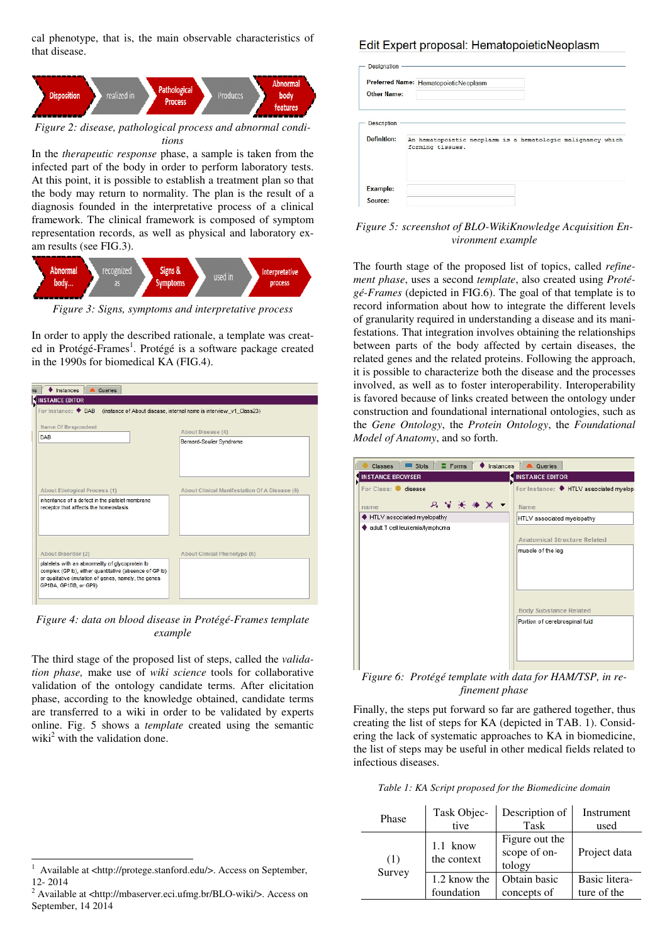cal phenotype, that is, the main observable characteristics of that disease.



*tions* 

In the *therapeutic response* phase, a sample is taken from the infected part of the body in order to perform laboratory tests. At this point, it is possible to establish a treatment plan so that the body may return to normality. The plan is the result of a diagnosis founded in the interpretative process of a clinical framework. The clinical framework is composed of symptom representation records, as well as physical and laboratory exam results (see FIG.3).



*Figure 3: Signs, symptoms and interpretative process* 

In order to apply the described rationale, a template was created in Protégé-Frames<sup>1</sup>. Protégé is a software package created in the 1990s for biomedical KA (FIG.4).

| <b>Instances</b><br><b>A</b> Queries<br>ns                                                |                                                                    |
|-------------------------------------------------------------------------------------------|--------------------------------------------------------------------|
| <b>INSTANCE EDITOR</b>                                                                    |                                                                    |
| For Instance: $\blacklozenge$ DAB                                                         | (instance of About disease, internal name is interview_v1_Class23) |
|                                                                                           |                                                                    |
| Name Of Respondent                                                                        | About Disease (4)                                                  |
| <b>DAB</b>                                                                                | Bernard-Soulier Syndrome                                           |
|                                                                                           |                                                                    |
|                                                                                           |                                                                    |
|                                                                                           |                                                                    |
|                                                                                           |                                                                    |
|                                                                                           |                                                                    |
| About Etiological Process (1)                                                             | About Clinical Manifestation Of A Disease (5)                      |
| inheritance of a defect in the platelet membrane<br>receptor that affects the homeostasis |                                                                    |
|                                                                                           |                                                                    |
|                                                                                           |                                                                    |
|                                                                                           |                                                                    |
|                                                                                           |                                                                    |
| About Disorder (2)                                                                        | <b>About Clinical Phenotype (6)</b>                                |
| platelets with an abnormality of glycoprotein lb                                          |                                                                    |
| complex (GP lb), either quantitative (absence of GP lb)                                   |                                                                    |
| or qualitative (mutation of genes, namely, the genes                                      |                                                                    |
| GP1BA, GP1BB, or GP9)                                                                     |                                                                    |
|                                                                                           |                                                                    |

*Figure 4: data on blood disease in Protégé-Frames template example* 

The third stage of the proposed list of steps, called the *validation phase,* make use of *wiki science* tools for collaborative validation of the ontology candidate terms. After elicitation phase, according to the knowledge obtained, candidate terms are transferred to a wiki in order to be validated by experts online. Fig. 5 shows a *template* created using the semantic wiki<sup>2</sup> with the validation done.

## Edit Expert proposal: HematopoieticNeoplasm

| <b>Other Name:</b> | Preferred Name: HematopoieticNeoplasm                                           |
|--------------------|---------------------------------------------------------------------------------|
| Description        |                                                                                 |
| <b>Definition:</b> | An hematopoietic neoplasm is a hematologic malignancy which<br>forming tissues. |
|                    |                                                                                 |
| Example:           |                                                                                 |

#### *Figure 5: screenshot of BLO-WikiKnowledge Acquisition Environment example*

The fourth stage of the proposed list of topics, called *refinement phase*, uses a second *template*, also created using *Protégé-Frames* (depicted in FIG.6). The goal of that template is to record information about how to integrate the different levels of granularity required in understanding a disease and its manifestations. That integration involves obtaining the relationships between parts of the body affected by certain diseases, the related genes and the related proteins. Following the approach, it is possible to characterize both the disease and the processes involved, as well as to foster interoperability. Interoperability is favored because of links created between the ontology under construction and foundational international ontologies, such as the *Gene Ontology*, the *Protein Ontology*, the *Foundational Model of Anatomy*, and so forth.



*Figure 6: Protégé template with data for HAM/TSP, in refinement phase* 

Finally, the steps put forward so far are gathered together, thus creating the list of steps for KA (depicted in TAB. 1). Considering the lack of systematic approaches to KA in biomedicine, the list of steps may be useful in other medical fields related to infectious diseases.

*Table 1: KA Script proposed for the Biomedicine domain* 

| Phase  | Task Objec-             | Description of                           | Instrument    |
|--------|-------------------------|------------------------------------------|---------------|
|        | tive                    | Task                                     | used          |
| (1)    | 1.1 know<br>the context | Figure out the<br>scope of on-<br>tology | Project data  |
| Survey | 1.2 know the            | Obtain basic                             | Basic litera- |
|        | foundation              | concepts of                              | ture of the   |

<sup>-</sup>1 Available at <http://protege.stanford.edu/>. Access on September, 12- 2014

<sup>2</sup> Available at <http://mbaserver.eci.ufmg.br/BLO-wiki/>. Access on September, 14 2014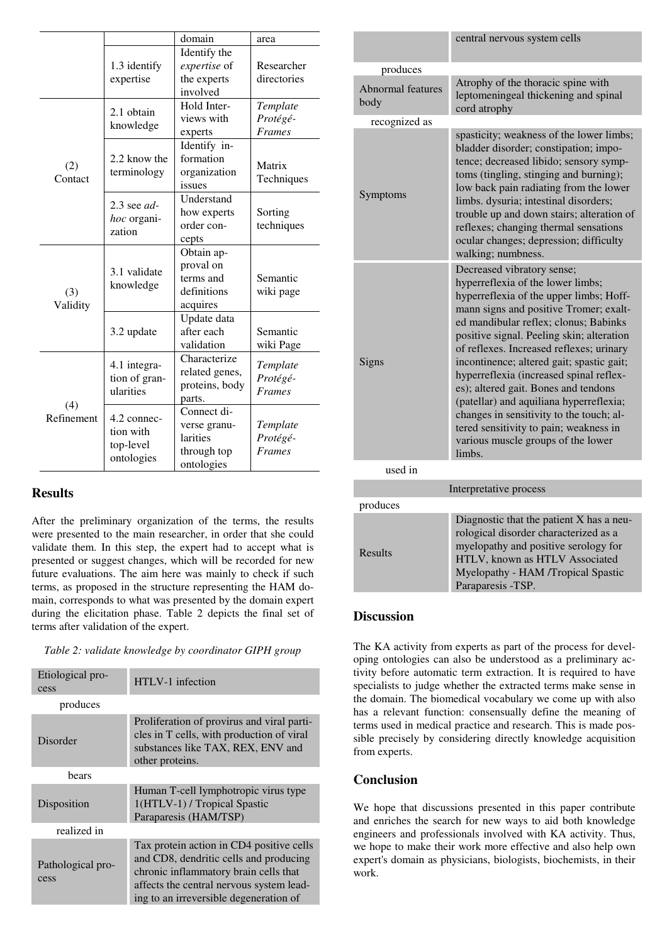|                   |                                            | domain         | area          |
|-------------------|--------------------------------------------|----------------|---------------|
|                   |                                            | Identify the   |               |
|                   | 1.3 identify                               | expertise of   | Researcher    |
|                   | expertise                                  | the experts    | directories   |
|                   |                                            | involved       |               |
|                   | 2.1 obtain<br>knowledge                    | Hold Inter-    | Template      |
|                   |                                            | views with     | Protégé-      |
|                   |                                            | experts        | <b>Frames</b> |
|                   |                                            | Identify in-   |               |
| (2)               | 2.2 know the                               | formation      | Matrix        |
| Contact           | terminology                                | organization   | Techniques    |
|                   |                                            | issues         |               |
|                   | $2.3$ see $ad$ -                           | Understand     |               |
|                   | hoc organi-<br>zation                      | how experts    | Sorting       |
|                   |                                            | order con-     | techniques    |
|                   |                                            | cepts          |               |
|                   |                                            | Obtain ap-     |               |
|                   | 3.1 validate<br>knowledge                  | proval on      |               |
|                   |                                            | terms and      | Semantic      |
| (3)               |                                            | definitions    | wiki page     |
| Validity          |                                            | acquires       |               |
|                   | 3.2 update                                 | Update data    |               |
|                   |                                            | after each     | Semantic      |
|                   |                                            | validation     | wiki Page     |
| (4)<br>Refinement | 4.1 integra-<br>tion of gran-<br>ularities | Characterize   | Template      |
|                   |                                            | related genes, | Protégé-      |
|                   |                                            | proteins, body | <b>Frames</b> |
|                   |                                            | parts.         |               |
|                   | 4.2 connec-                                | Connect di-    |               |
|                   | tion with<br>top-level<br>ontologies       | verse granu-   | Template      |
|                   |                                            | larities       | Protégé-      |
|                   |                                            | through top    | <b>Frames</b> |
|                   |                                            | ontologies     |               |

# **Results**

After the preliminary organization of the terms, the results were presented to the main researcher, in order that she could validate them. In this step, the expert had to accept what is presented or suggest changes, which will be recorded for new future evaluations. The aim here was mainly to check if such terms, as proposed in the structure representing the HAM domain, corresponds to what was presented by the domain expert during the elicitation phase. Table 2 depicts the final set of terms after validation of the expert.

*Table 2: validate knowledge by coordinator GIPH group* 

| Etiological pro-<br>cess  | HTLV-1 infection                                                                                                                                                                                                  |
|---------------------------|-------------------------------------------------------------------------------------------------------------------------------------------------------------------------------------------------------------------|
| produces                  |                                                                                                                                                                                                                   |
| Disorder                  | Proliferation of provirus and viral parti-<br>cles in T cells, with production of viral<br>substances like TAX, REX, ENV and<br>other proteins.                                                                   |
| bears                     |                                                                                                                                                                                                                   |
| Disposition               | Human T-cell lymphotropic virus type<br>1(HTLV-1) / Tropical Spastic<br>Paraparesis (HAM/TSP)                                                                                                                     |
| realized in               |                                                                                                                                                                                                                   |
| Pathological pro-<br>cess | Tax protein action in CD4 positive cells<br>and CD8, dendritic cells and producing<br>chronic inflammatory brain cells that<br>affects the central nervous system lead-<br>ing to an irreversible degeneration of |

|                                  | central nervous system cells                                                                                                                                                                                                                                                                                                                                                                                                                                                                                                                                                                            |  |
|----------------------------------|---------------------------------------------------------------------------------------------------------------------------------------------------------------------------------------------------------------------------------------------------------------------------------------------------------------------------------------------------------------------------------------------------------------------------------------------------------------------------------------------------------------------------------------------------------------------------------------------------------|--|
| produces                         |                                                                                                                                                                                                                                                                                                                                                                                                                                                                                                                                                                                                         |  |
| <b>Abnormal</b> features<br>body | Atrophy of the thoracic spine with<br>leptomeningeal thickening and spinal<br>cord atrophy                                                                                                                                                                                                                                                                                                                                                                                                                                                                                                              |  |
| recognized as                    |                                                                                                                                                                                                                                                                                                                                                                                                                                                                                                                                                                                                         |  |
| Symptoms                         | spasticity; weakness of the lower limbs;<br>bladder disorder; constipation; impo-<br>tence; decreased libido; sensory symp-<br>toms (tingling, stinging and burning);<br>low back pain radiating from the lower<br>limbs. dysuria; intestinal disorders;<br>trouble up and down stairs; alteration of<br>reflexes; changing thermal sensations<br>ocular changes; depression; difficulty<br>walking; numbness.                                                                                                                                                                                          |  |
| Signs                            | Decreased vibratory sense;<br>hyperreflexia of the lower limbs;<br>hyperreflexia of the upper limbs; Hoff-<br>mann signs and positive Tromer; exalt-<br>ed mandibular reflex; clonus; Babinks<br>positive signal. Peeling skin; alteration<br>of reflexes. Increased reflexes; urinary<br>incontinence; altered gait; spastic gait;<br>hyperreflexia (increased spinal reflex-<br>es); altered gait. Bones and tendons<br>(patellar) and aquiliana hyperreflexia;<br>changes in sensitivity to the touch; al-<br>tered sensitivity to pain; weakness in<br>various muscle groups of the lower<br>limbs. |  |
| used in                          |                                                                                                                                                                                                                                                                                                                                                                                                                                                                                                                                                                                                         |  |
| Interpretative process           |                                                                                                                                                                                                                                                                                                                                                                                                                                                                                                                                                                                                         |  |
| produces                         |                                                                                                                                                                                                                                                                                                                                                                                                                                                                                                                                                                                                         |  |
|                                  | Diagnostic that the patient X has a neu-<br>rological disorder characterized as a<br>myelopathy and positive serology for                                                                                                                                                                                                                                                                                                                                                                                                                                                                               |  |
| Results                          |                                                                                                                                                                                                                                                                                                                                                                                                                                                                                                                                                                                                         |  |

## **Discussion**

The KA activity from experts as part of the process for developing ontologies can also be understood as a preliminary activity before automatic term extraction. It is required to have specialists to judge whether the extracted terms make sense in the domain. The biomedical vocabulary we come up with also has a relevant function: consensually define the meaning of terms used in medical practice and research. This is made possible precisely by considering directly knowledge acquisition from experts.

Paraparesis -TSP.

HTLV, known as HTLV Associated Myelopathy - HAM /Tropical Spastic

# **Conclusion**

We hope that discussions presented in this paper contribute and enriches the search for new ways to aid both knowledge engineers and professionals involved with KA activity. Thus, we hope to make their work more effective and also help own expert's domain as physicians, biologists, biochemists, in their work.